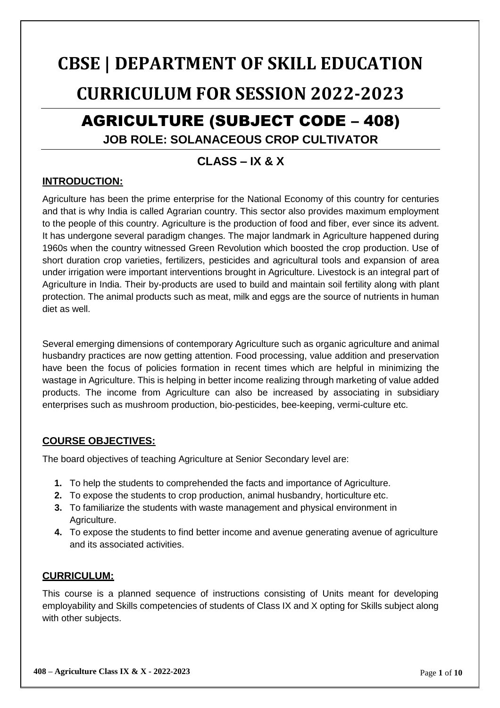## **CBSE | DEPARTMENT OF SKILL EDUCATION CURRICULUM FOR SESSION 2022-2023**

# AGRICULTURE (SUBJECT CODE – 408)

## **JOB ROLE: SOLANACEOUS CROP CULTIVATOR**

## **CLASS – IX & X**

## **INTRODUCTION:**

Agriculture has been the prime enterprise for the National Economy of this country for centuries and that is why India is called Agrarian country. This sector also provides maximum employment to the people of this country. Agriculture is the production of food and fiber, ever since its advent. It has undergone several paradigm changes. The major landmark in Agriculture happened during 1960s when the country witnessed Green Revolution which boosted the crop production. Use of short duration crop varieties, fertilizers, pesticides and agricultural tools and expansion of area under irrigation were important interventions brought in Agriculture. Livestock is an integral part of Agriculture in India. Their by-products are used to build and maintain soil fertility along with plant protection. The animal products such as meat, milk and eggs are the source of nutrients in human diet as well.

Several emerging dimensions of contemporary Agriculture such as organic agriculture and animal husbandry practices are now getting attention. Food processing, value addition and preservation have been the focus of policies formation in recent times which are helpful in minimizing the wastage in Agriculture. This is helping in better income realizing through marketing of value added products. The income from Agriculture can also be increased by associating in subsidiary enterprises such as mushroom production, bio-pesticides, bee-keeping, vermi-culture etc.

## **COURSE OBJECTIVES:**

The board objectives of teaching Agriculture at Senior Secondary level are:

- **1.** To help the students to comprehended the facts and importance of Agriculture.
- **2.** To expose the students to crop production, animal husbandry, horticulture etc.
- **3.** To familiarize the students with waste management and physical environment in Agriculture.
- **4.** To expose the students to find better income and avenue generating avenue of agriculture and its associated activities.

## **CURRICULUM:**

This course is a planned sequence of instructions consisting of Units meant for developing employability and Skills competencies of students of Class IX and X opting for Skills subject along with other subjects.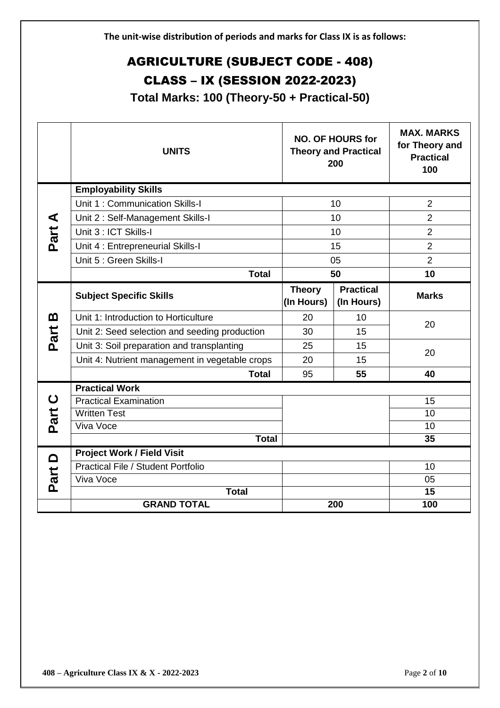## AGRICULTURE (SUBJECT CODE - 408)

## CLASS – IX (SESSION 2022-2023)

**Total Marks: 100 (Theory-50 + Practical-50)**

|                           | <b>UNITS</b>                                   |                             | <b>NO. OF HOURS for</b><br><b>Theory and Practical</b><br>200 | <b>MAX. MARKS</b><br>for Theory and<br><b>Practical</b><br>100 |
|---------------------------|------------------------------------------------|-----------------------------|---------------------------------------------------------------|----------------------------------------------------------------|
|                           | <b>Employability Skills</b>                    |                             |                                                               |                                                                |
|                           | Unit 1: Communication Skills-I                 |                             | 10                                                            | $\overline{2}$                                                 |
| ⋖                         | Unit 2: Self-Management Skills-I               |                             | 10                                                            | $\overline{2}$                                                 |
| Part                      | Unit 3 : ICT Skills-I                          |                             | 10                                                            | $\overline{2}$                                                 |
|                           | Unit 4 : Entrepreneurial Skills-I              |                             | 15                                                            | $\overline{2}$                                                 |
|                           | Unit 5 : Green Skills-I                        |                             | 05                                                            | $\overline{2}$                                                 |
|                           | <b>Total</b>                                   |                             | 50                                                            | 10                                                             |
|                           | <b>Subject Specific Skills</b>                 | <b>Theory</b><br>(In Hours) | <b>Practical</b><br>(In Hours)                                | <b>Marks</b>                                                   |
| മ                         | Unit 1: Introduction to Horticulture           | 20                          | 10                                                            |                                                                |
| Part                      | Unit 2: Seed selection and seeding production  | 30                          | 15                                                            | 20                                                             |
|                           | Unit 3: Soil preparation and transplanting     | 25                          | 15                                                            |                                                                |
|                           | Unit 4: Nutrient management in vegetable crops | 20                          | 15                                                            | 20                                                             |
|                           | <b>Total</b>                                   | 95                          | 55                                                            | 40                                                             |
|                           | <b>Practical Work</b>                          |                             |                                                               |                                                                |
| ပ                         | <b>Practical Examination</b>                   |                             |                                                               | 15                                                             |
| Part                      | <b>Written Test</b>                            |                             |                                                               | 10                                                             |
|                           | Viva Voce                                      |                             |                                                               | 10                                                             |
|                           | <b>Total</b>                                   |                             |                                                               | 35                                                             |
| $\mathbf{\Omega}$<br>Part | <b>Project Work / Field Visit</b>              |                             |                                                               |                                                                |
|                           | Practical File / Student Portfolio             |                             |                                                               | 10                                                             |
|                           | Viva Voce                                      |                             |                                                               | 05                                                             |
|                           | <b>Total</b><br><b>GRAND TOTAL</b>             |                             | 200                                                           | 15<br>100                                                      |
|                           |                                                |                             |                                                               |                                                                |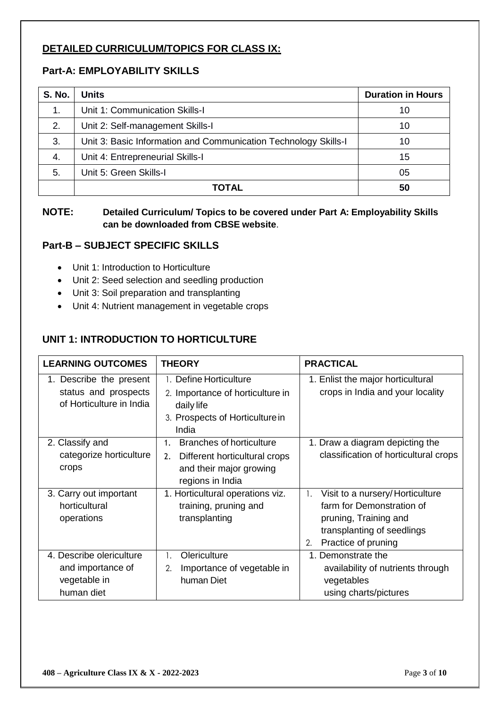## **DETAILED CURRICULUM/TOPICS FOR CLASS IX:**

## **Part-A: EMPLOYABILITY SKILLS**

| <b>S. No.</b> | Units                                                           | <b>Duration in Hours</b> |
|---------------|-----------------------------------------------------------------|--------------------------|
| 1.            | Unit 1: Communication Skills-I                                  | 10                       |
| 2.            | Unit 2: Self-management Skills-I                                | 10                       |
| 3.            | Unit 3: Basic Information and Communication Technology Skills-I | 10                       |
| 4.            | Unit 4: Entrepreneurial Skills-I                                | 15                       |
| 5.            | Unit 5: Green Skills-I                                          | 05                       |
|               | <b>TOTAL</b>                                                    | 50                       |

## **NOTE: Detailed Curriculum/ Topics to be covered under Part A: Employability Skills can be downloaded from CBSE website**.

## **Part-B – SUBJECT SPECIFIC SKILLS**

- Unit 1: Introduction to Horticulture
- Unit 2: Seed selection and seedling production
- Unit 3: Soil preparation and transplanting
- Unit 4: Nutrient management in vegetable crops

## **UNIT 1: INTRODUCTION TO HORTICULTURE**

| <b>LEARNING OUTCOMES</b>                                                    | <b>THEORY</b>                                                                                                               | <b>PRACTICAL</b>                                                                                                                                                   |
|-----------------------------------------------------------------------------|-----------------------------------------------------------------------------------------------------------------------------|--------------------------------------------------------------------------------------------------------------------------------------------------------------------|
| 1. Describe the present<br>status and prospects<br>of Horticulture in India | 1. Define Horticulture<br>2. Importance of horticulture in<br>daily life<br>3. Prospects of Horticulture in<br>India        | 1. Enlist the major horticultural<br>crops in India and your locality                                                                                              |
| 2. Classify and<br>categorize horticulture<br>crops                         | <b>Branches of horticulture</b><br>1.<br>Different horticultural crops<br>2.<br>and their major growing<br>regions in India | 1. Draw a diagram depicting the<br>classification of horticultural crops                                                                                           |
| 3. Carry out important<br>horticultural<br>operations                       | 1. Horticultural operations viz.<br>training, pruning and<br>transplanting                                                  | Visit to a nursery/Horticulture<br>$\mathbf{1}$ .<br>farm for Demonstration of<br>pruning, Training and<br>transplanting of seedlings<br>Practice of pruning<br>2. |
| 4. Describe olericulture<br>and importance of<br>vegetable in<br>human diet | Olericulture<br>1.<br>Importance of vegetable in<br>2.<br>human Diet                                                        | 1. Demonstrate the<br>availability of nutrients through<br>vegetables<br>using charts/pictures                                                                     |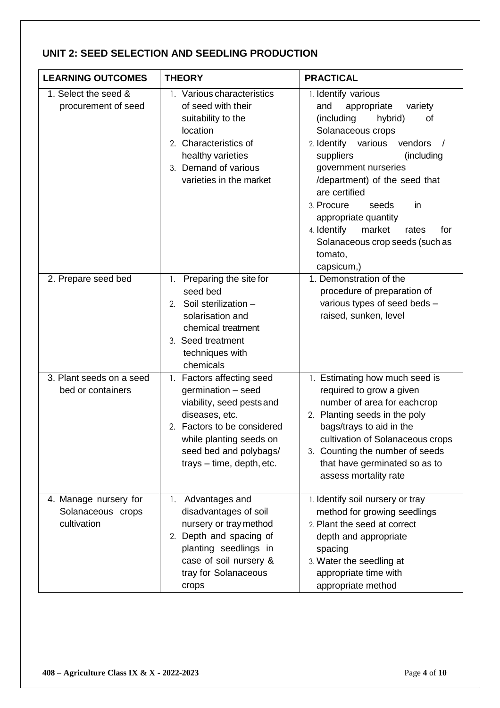## **UNIT 2: SEED SELECTION AND SEEDLING PRODUCTION**

| <b>LEARNING OUTCOMES</b>                                  | <b>THEORY</b>                                                                                                                                                                                                   | <b>PRACTICAL</b>                                                                                                                                                                                                                                                                                                                                                                                          |
|-----------------------------------------------------------|-----------------------------------------------------------------------------------------------------------------------------------------------------------------------------------------------------------------|-----------------------------------------------------------------------------------------------------------------------------------------------------------------------------------------------------------------------------------------------------------------------------------------------------------------------------------------------------------------------------------------------------------|
| 1. Select the seed &<br>procurement of seed               | 1. Various characteristics<br>of seed with their<br>suitability to the<br>location<br>2. Characteristics of<br>healthy varieties<br>3. Demand of various<br>varieties in the market                             | 1. Identify various<br>and<br>appropriate<br>variety<br>(including<br>hybrid)<br>οf<br>Solanaceous crops<br>2. Identify various<br>vendors<br>suppliers<br>(including<br>government nurseries<br>/department) of the seed that<br>are certified<br>3. Procure<br>seeds<br>in<br>appropriate quantity<br>4. Identify<br>market<br>rates<br>for<br>Solanaceous crop seeds (such as<br>tomato,<br>capsicum,) |
| 2. Prepare seed bed                                       | Preparing the site for<br>1.<br>seed bed<br>Soil sterilization -<br>2.<br>solarisation and<br>chemical treatment<br>3. Seed treatment<br>techniques with<br>chemicals                                           | 1. Demonstration of the<br>procedure of preparation of<br>various types of seed beds -<br>raised, sunken, level                                                                                                                                                                                                                                                                                           |
| 3. Plant seeds on a seed<br>bed or containers             | 1. Factors affecting seed<br>germination - seed<br>viability, seed pests and<br>diseases, etc.<br>2. Factors to be considered<br>while planting seeds on<br>seed bed and polybags/<br>trays - time, depth, etc. | 1. Estimating how much seed is<br>required to grow a given<br>number of area for eachcrop<br>2. Planting seeds in the poly<br>bags/trays to aid in the<br>cultivation of Solanaceous crops<br>3. Counting the number of seeds<br>that have germinated so as to<br>assess mortality rate                                                                                                                   |
| 4. Manage nursery for<br>Solanaceous crops<br>cultivation | Advantages and<br>1.<br>disadvantages of soil<br>nursery or tray method<br>2. Depth and spacing of<br>planting seedlings in<br>case of soil nursery &<br>tray for Solanaceous<br>crops                          | 1. Identify soil nursery or tray<br>method for growing seedlings<br>2. Plant the seed at correct<br>depth and appropriate<br>spacing<br>3. Water the seedling at<br>appropriate time with<br>appropriate method                                                                                                                                                                                           |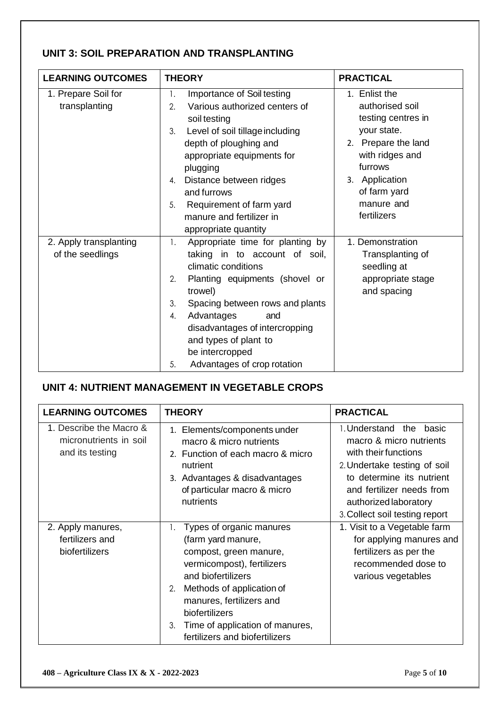## **UNIT 3: SOIL PREPARATION AND TRANSPLANTING**

| <b>LEARNING OUTCOMES</b>                   | <b>THEORY</b>                                                                                                                                                                                                                                                                                                                              | <b>PRACTICAL</b>                                                                                                                                                                          |
|--------------------------------------------|--------------------------------------------------------------------------------------------------------------------------------------------------------------------------------------------------------------------------------------------------------------------------------------------------------------------------------------------|-------------------------------------------------------------------------------------------------------------------------------------------------------------------------------------------|
| 1. Prepare Soil for<br>transplanting       | Importance of Soil testing<br>1.<br>Various authorized centers of<br>2.<br>soil testing<br>Level of soil tillage including<br>3.<br>depth of ploughing and<br>appropriate equipments for<br>plugging<br>Distance between ridges<br>4.<br>and furrows<br>Requirement of farm yard<br>5.<br>manure and fertilizer in<br>appropriate quantity | 1. Enlist the<br>authorised soil<br>testing centres in<br>your state.<br>2. Prepare the land<br>with ridges and<br>furrows<br>3. Application<br>of farm yard<br>manure and<br>fertilizers |
| 2. Apply transplanting<br>of the seedlings | Appropriate time for planting by<br>1.<br>taking in to account of soil,<br>climatic conditions<br>2.<br>Planting equipments (shovel or<br>trowel)<br>3.<br>Spacing between rows and plants<br>Advantages<br>4.<br>and<br>disadvantages of intercropping<br>and types of plant to<br>be intercropped<br>Advantages of crop rotation<br>5.   | 1. Demonstration<br>Transplanting of<br>seedling at<br>appropriate stage<br>and spacing                                                                                                   |

## **UNIT 4: NUTRIENT MANAGEMENT IN VEGETABLE CROPS**

| <b>LEARNING OUTCOMES</b>                                             | <b>THEORY</b>                                                                                                                                                                                                                                                                            | <b>PRACTICAL</b>                                                                                                                                                                                                                   |
|----------------------------------------------------------------------|------------------------------------------------------------------------------------------------------------------------------------------------------------------------------------------------------------------------------------------------------------------------------------------|------------------------------------------------------------------------------------------------------------------------------------------------------------------------------------------------------------------------------------|
| 1. Describe the Macro &<br>micronutrients in soil<br>and its testing | 1. Elements/components under<br>macro & micro nutrients<br>2. Function of each macro & micro<br>nutrient<br>3. Advantages & disadvantages<br>of particular macro & micro<br>nutrients                                                                                                    | 1. Understand the<br>basic<br>macro & micro nutrients<br>with their functions<br>2. Undertake testing of soil<br>to determine its nutrient<br>and fertilizer needs from<br>authorized laboratory<br>3. Collect soil testing report |
| 2. Apply manures,<br>fertilizers and<br>biofertilizers               | Types of organic manures<br>(farm yard manure,<br>compost, green manure,<br>vermicompost), fertilizers<br>and biofertilizers<br>Methods of application of<br>2.<br>manures, fertilizers and<br>biofertilizers<br>Time of application of manures,<br>3.<br>fertilizers and biofertilizers | 1. Visit to a Vegetable farm<br>for applying manures and<br>fertilizers as per the<br>recommended dose to<br>various vegetables                                                                                                    |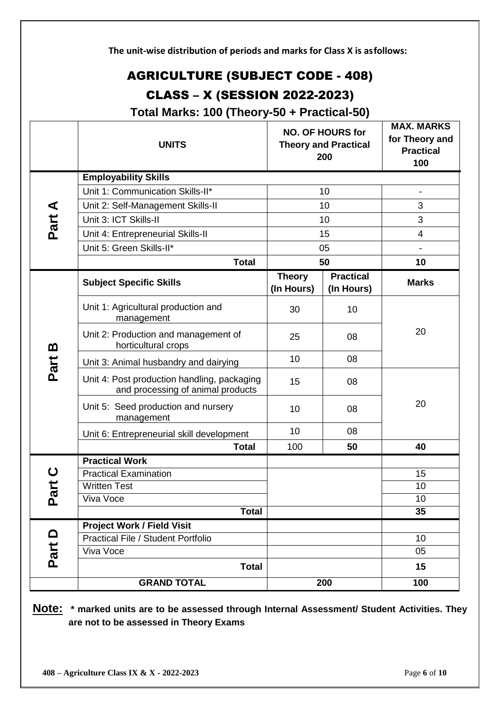| The unit-wise distribution of periods and marks for Class X is as follows: |                                                                                     |                             |                                                               |                                                                |  |
|----------------------------------------------------------------------------|-------------------------------------------------------------------------------------|-----------------------------|---------------------------------------------------------------|----------------------------------------------------------------|--|
| <b>AGRICULTURE (SUBJECT CODE - 408)</b>                                    |                                                                                     |                             |                                                               |                                                                |  |
|                                                                            | <b>CLASS - X (SESSION 2022-2023)</b><br>Total Marks: 100 (Theory-50 + Practical-50) |                             |                                                               |                                                                |  |
|                                                                            | <b>UNITS</b>                                                                        |                             | <b>NO. OF HOURS for</b><br><b>Theory and Practical</b><br>200 | <b>MAX. MARKS</b><br>for Theory and<br><b>Practical</b><br>100 |  |
|                                                                            | <b>Employability Skills</b>                                                         |                             |                                                               |                                                                |  |
|                                                                            | Unit 1: Communication Skills-II*                                                    |                             | 10                                                            |                                                                |  |
|                                                                            | Unit 2: Self-Management Skills-II                                                   |                             | 10                                                            | 3                                                              |  |
| Part A                                                                     | Unit 3: ICT Skills-II                                                               |                             | 10                                                            | 3                                                              |  |
|                                                                            | Unit 4: Entrepreneurial Skills-II                                                   |                             | 15                                                            | 4                                                              |  |
|                                                                            | Unit 5: Green Skills-II*                                                            |                             | 05                                                            | $\overline{\phantom{a}}$                                       |  |
|                                                                            | <b>Total</b>                                                                        | 50                          |                                                               | 10                                                             |  |
|                                                                            | <b>Subject Specific Skills</b>                                                      | <b>Theory</b><br>(In Hours) | <b>Practical</b><br>(In Hours)                                | <b>Marks</b>                                                   |  |
|                                                                            | Unit 1: Agricultural production and<br>management                                   | 30                          | 10                                                            |                                                                |  |
|                                                                            | Unit 2: Production and management of<br>horticultural crops                         | 25                          | 08                                                            | 20                                                             |  |
|                                                                            | Unit 3: Animal husbandry and dairying                                               | 10                          | 08                                                            |                                                                |  |
| Part B                                                                     | Unit 4: Post production handling, packaging<br>and processing of animal products    | 15                          | 08                                                            |                                                                |  |
|                                                                            | Unit 5: Seed production and nursery<br>management                                   | 10                          | 08                                                            | 20                                                             |  |
|                                                                            | Unit 6: Entrepreneurial skill development                                           | 10                          | 08                                                            |                                                                |  |
|                                                                            | <b>Total</b>                                                                        | 100                         | 50                                                            | 40                                                             |  |
|                                                                            | <b>Practical Work</b>                                                               |                             |                                                               |                                                                |  |
| $\mathbf C$                                                                | <b>Practical Examination</b>                                                        |                             |                                                               | 15                                                             |  |
| Part                                                                       | <b>Written Test</b>                                                                 |                             |                                                               | 10                                                             |  |
|                                                                            | Viva Voce                                                                           |                             |                                                               | 10                                                             |  |
|                                                                            | <b>Total</b>                                                                        |                             |                                                               | 35                                                             |  |
|                                                                            | <b>Project Work / Field Visit</b><br><b>Practical File / Student Portfolio</b>      |                             |                                                               |                                                                |  |
|                                                                            | Viva Voce                                                                           |                             |                                                               | 10<br>05                                                       |  |
| Part D                                                                     | <b>Total</b>                                                                        |                             |                                                               | 15                                                             |  |
|                                                                            |                                                                                     |                             |                                                               |                                                                |  |
|                                                                            | <b>GRAND TOTAL</b>                                                                  |                             | 200                                                           | 100                                                            |  |

**Note: \* marked units are to be assessed through Internal Assessment/ Student Activities. They are not to be assessed in Theory Exams**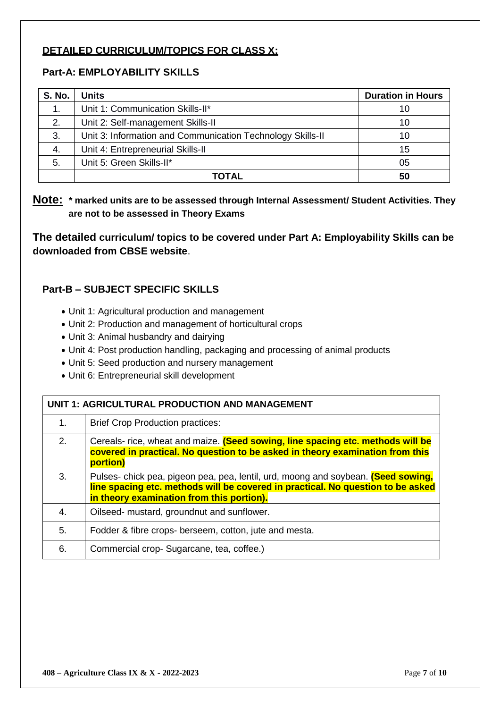## **DETAILED CURRICULUM/TOPICS FOR CLASS X:**

## **Part-A: EMPLOYABILITY SKILLS**

| <b>S. No.</b> | <b>Units</b>                                               | <b>Duration in Hours</b> |
|---------------|------------------------------------------------------------|--------------------------|
|               | Unit 1: Communication Skills-II*                           | 10                       |
| 2.            | Unit 2: Self-management Skills-II                          | 10                       |
| 3.            | Unit 3: Information and Communication Technology Skills-II | 10                       |
| 4.            | Unit 4: Entrepreneurial Skills-II                          | 15                       |
| 5.            | Unit 5: Green Skills-II*                                   | 05                       |
|               | TOTAL                                                      | 50                       |

**Note: \* marked units are to be assessed through Internal Assessment/ Student Activities. They are not to be assessed in Theory Exams** 

**The detailed curriculum/ topics to be covered under Part A: Employability Skills can be downloaded from CBSE website**.

## **Part-B – SUBJECT SPECIFIC SKILLS**

- Unit 1: Agricultural production and management
- Unit 2: Production and management of horticultural crops
- Unit 3: Animal husbandry and dairying
- Unit 4: Post production handling, packaging and processing of animal products
- Unit 5: Seed production and nursery management
- Unit 6: Entrepreneurial skill development

| UNIT 1: AGRICULTURAL PRODUCTION AND MANAGEMENT |                                                                                                                                                                                                                   |
|------------------------------------------------|-------------------------------------------------------------------------------------------------------------------------------------------------------------------------------------------------------------------|
| 1.                                             | <b>Brief Crop Production practices:</b>                                                                                                                                                                           |
| 2.                                             | Cereals- rice, wheat and maize. (Seed sowing, line spacing etc. methods will be<br>covered in practical. No question to be asked in theory examination from this<br>portion)                                      |
| 3.                                             | Pulses- chick pea, pigeon pea, pea, lentil, urd, moong and soybean. (Seed sowing,<br>line spacing etc. methods will be covered in practical. No question to be asked<br>in theory examination from this portion). |
| 4.                                             | Oilseed- mustard, groundnut and sunflower.                                                                                                                                                                        |
| 5.                                             | Fodder & fibre crops- berseem, cotton, jute and mesta.                                                                                                                                                            |
| 6.                                             | Commercial crop-Sugarcane, tea, coffee.)                                                                                                                                                                          |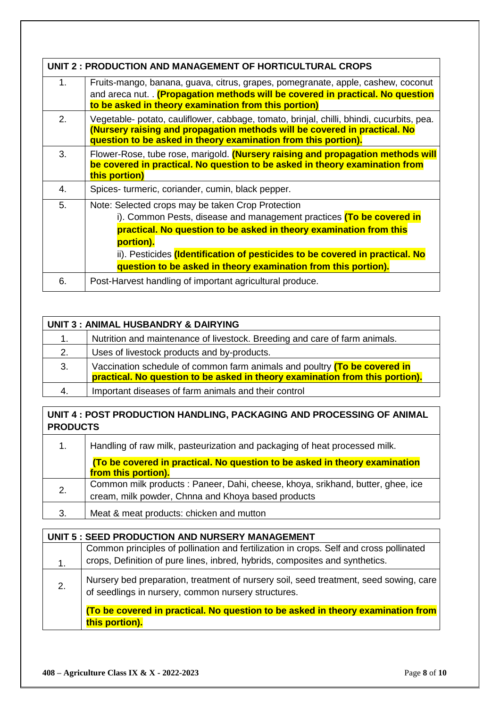|    | UNIT 2 : PRODUCTION AND MANAGEMENT OF HORTICULTURAL CROPS                                                                                                                                                                                |
|----|------------------------------------------------------------------------------------------------------------------------------------------------------------------------------------------------------------------------------------------|
| 1. | Fruits-mango, banana, guava, citrus, grapes, pomegranate, apple, cashew, coconut                                                                                                                                                         |
|    | and areca nut. (Propagation methods will be covered in practical. No question<br>to be asked in theory examination from this portion)                                                                                                    |
| 2. | Vegetable- potato, cauliflower, cabbage, tomato, brinjal, chilli, bhindi, cucurbits, pea.<br>(Nursery raising and propagation methods will be covered in practical. No<br>question to be asked in theory examination from this portion). |
| 3. | Flower-Rose, tube rose, marigold. (Nursery raising and propagation methods will<br>be covered in practical. No question to be asked in theory examination from<br>this portion)                                                          |
| 4. | Spices- turmeric, coriander, cumin, black pepper.                                                                                                                                                                                        |
| 5. | Note: Selected crops may be taken Crop Protection                                                                                                                                                                                        |
|    | i). Common Pests, disease and management practices (To be covered in                                                                                                                                                                     |
|    | practical. No question to be asked in theory examination from this                                                                                                                                                                       |
|    | portion).                                                                                                                                                                                                                                |
|    | ii). Pesticides <i>(Identification of pesticides to be covered in practical. No</i>                                                                                                                                                      |
|    | question to be asked in theory examination from this portion).                                                                                                                                                                           |
| 6. | Post-Harvest handling of important agricultural produce.                                                                                                                                                                                 |

|    | UNIT 3 : ANIMAL HUSBANDRY & DAIRYING                                                                                                                      |  |  |
|----|-----------------------------------------------------------------------------------------------------------------------------------------------------------|--|--|
| 1. | Nutrition and maintenance of livestock. Breeding and care of farm animals.                                                                                |  |  |
| 2. | Uses of livestock products and by-products.                                                                                                               |  |  |
| 3. | Vaccination schedule of common farm animals and poultry (To be covered in<br>practical. No question to be asked in theory examination from this portion). |  |  |
| 4. | Important diseases of farm animals and their control                                                                                                      |  |  |

**UNIT 4 : POST PRODUCTION HANDLING, PACKAGING AND PROCESSING OF ANIMAL PRODUCTS**

| 1. | Handling of raw milk, pasteurization and packaging of heat processed milk.      |  |  |
|----|---------------------------------------------------------------------------------|--|--|
|    | (To be covered in practical. No question to be asked in theory examination      |  |  |
|    | from this portion).                                                             |  |  |
| 2. | Common milk products : Paneer, Dahi, cheese, khoya, srikhand, butter, ghee, ice |  |  |
|    | cream, milk powder, Chnna and Khoya based products                              |  |  |
| 3. | Meat & meat products: chicken and mutton                                        |  |  |
|    |                                                                                 |  |  |

| UNIT 5 : SEED PRODUCTION AND NURSERY MANAGEMENT |                                                                                                                                              |  |
|-------------------------------------------------|----------------------------------------------------------------------------------------------------------------------------------------------|--|
|                                                 | Common principles of pollination and fertilization in crops. Self and cross pollinated                                                       |  |
| 1.                                              | crops, Definition of pure lines, inbred, hybrids, composites and synthetics.                                                                 |  |
| 2.                                              | Nursery bed preparation, treatment of nursery soil, seed treatment, seed sowing, care<br>of seedlings in nursery, common nursery structures. |  |
|                                                 | (To be covered in practical. No question to be asked in theory examination from                                                              |  |
|                                                 | this portion).                                                                                                                               |  |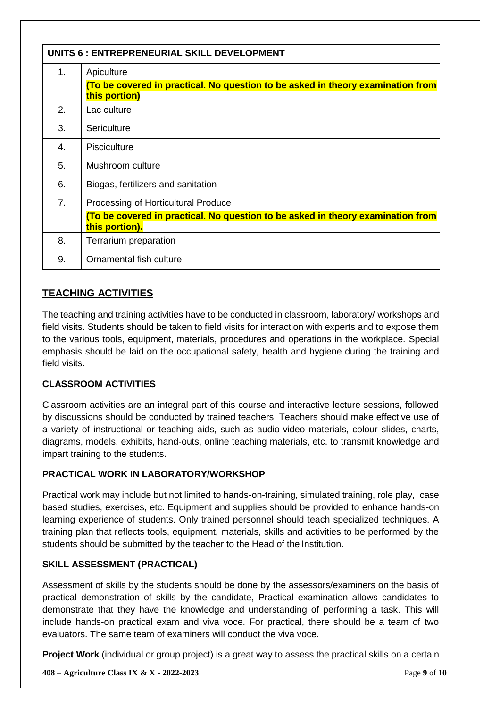| UNITS 6 : ENTREPRENEURIAL SKILL DEVELOPMENT |                                                                                                   |
|---------------------------------------------|---------------------------------------------------------------------------------------------------|
| 1.                                          | Apiculture                                                                                        |
|                                             | (To be covered in practical. No question to be asked in theory examination from<br>this portion)  |
| 2.                                          | Lac culture                                                                                       |
| 3.                                          | Sericulture                                                                                       |
| 4.                                          | Pisciculture                                                                                      |
| 5.                                          | Mushroom culture                                                                                  |
| 6.                                          | Biogas, fertilizers and sanitation                                                                |
| 7 <sub>1</sub>                              | Processing of Horticultural Produce                                                               |
|                                             | (To be covered in practical. No question to be asked in theory examination from<br>this portion). |
| 8.                                          | Terrarium preparation                                                                             |
| 9.                                          | Ornamental fish culture                                                                           |

### **TEACHING ACTIVITIES**

The teaching and training activities have to be conducted in classroom, laboratory/ workshops and field visits. Students should be taken to field visits for interaction with experts and to expose them to the various tools, equipment, materials, procedures and operations in the workplace. Special emphasis should be laid on the occupational safety, health and hygiene during the training and field visits.

### **CLASSROOM ACTIVITIES**

Classroom activities are an integral part of this course and interactive lecture sessions, followed by discussions should be conducted by trained teachers. Teachers should make effective use of a variety of instructional or teaching aids, such as audio-video materials, colour slides, charts, diagrams, models, exhibits, hand-outs, online teaching materials, etc. to transmit knowledge and impart training to the students.

### **PRACTICAL WORK IN LABORATORY/WORKSHOP**

Practical work may include but not limited to hands-on-training, simulated training, role play, case based studies, exercises, etc. Equipment and supplies should be provided to enhance hands-on learning experience of students. Only trained personnel should teach specialized techniques. A training plan that reflects tools, equipment, materials, skills and activities to be performed by the students should be submitted by the teacher to the Head of the Institution.

#### **SKILL ASSESSMENT (PRACTICAL)**

Assessment of skills by the students should be done by the assessors/examiners on the basis of practical demonstration of skills by the candidate, Practical examination allows candidates to demonstrate that they have the knowledge and understanding of performing a task. This will include hands-on practical exam and viva voce. For practical, there should be a team of two evaluators. The same team of examiners will conduct the viva voce.

**Project Work** (individual or group project) is a great way to assess the practical skills on a certain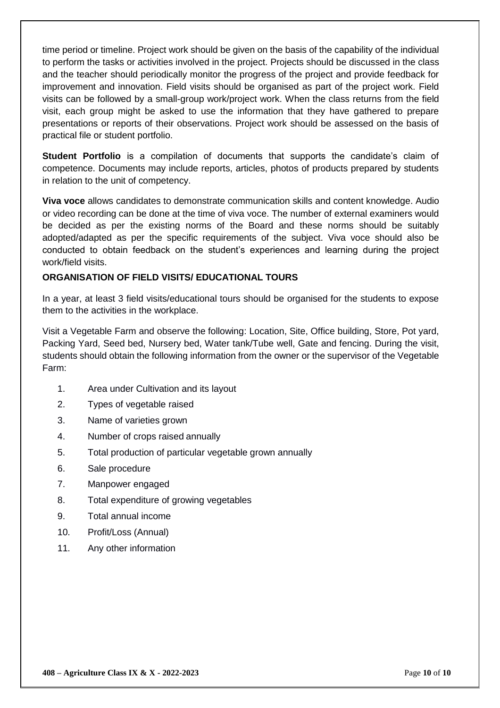time period or timeline. Project work should be given on the basis of the capability of the individual to perform the tasks or activities involved in the project. Projects should be discussed in the class and the teacher should periodically monitor the progress of the project and provide feedback for improvement and innovation. Field visits should be organised as part of the project work. Field visits can be followed by a small-group work/project work. When the class returns from the field visit, each group might be asked to use the information that they have gathered to prepare presentations or reports of their observations. Project work should be assessed on the basis of practical file or student portfolio.

**Student Portfolio** is a compilation of documents that supports the candidate's claim of competence. Documents may include reports, articles, photos of products prepared by students in relation to the unit of competency.

**Viva voce** allows candidates to demonstrate communication skills and content knowledge. Audio or video recording can be done at the time of viva voce. The number of external examiners would be decided as per the existing norms of the Board and these norms should be suitably adopted/adapted as per the specific requirements of the subject. Viva voce should also be conducted to obtain feedback on the student's experiences and learning during the project work/field visits.

#### **ORGANISATION OF FIELD VISITS/ EDUCATIONAL TOURS**

In a year, at least 3 field visits/educational tours should be organised for the students to expose them to the activities in the workplace.

Visit a Vegetable Farm and observe the following: Location, Site, Office building, Store, Pot yard, Packing Yard, Seed bed, Nursery bed, Water tank/Tube well, Gate and fencing. During the visit, students should obtain the following information from the owner or the supervisor of the Vegetable Farm:

- 1. Area under Cultivation and its layout
- 2. Types of vegetable raised
- 3. Name of varieties grown
- 4. Number of crops raised annually
- 5. Total production of particular vegetable grown annually
- 6. Sale procedure
- 7. Manpower engaged
- 8. Total expenditure of growing vegetables
- 9. Total annual income
- 10. Profit/Loss (Annual)
- 11. Any other information